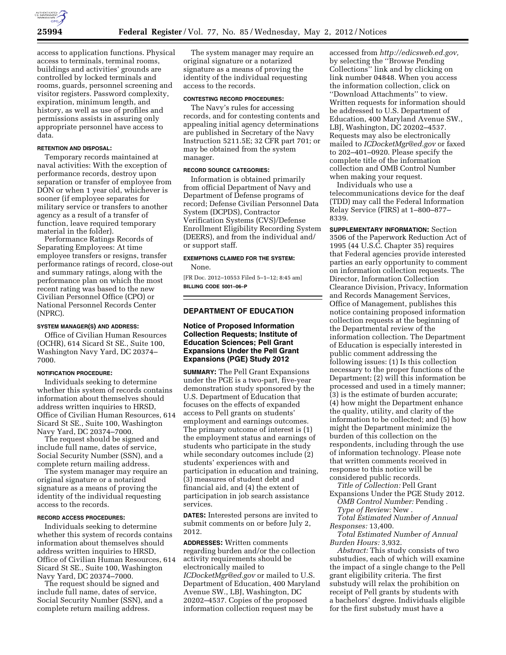

access to application functions. Physical access to terminals, terminal rooms, buildings and activities' grounds are controlled by locked terminals and rooms, guards, personnel screening and visitor registers. Password complexity, expiration, minimum length, and history, as well as use of profiles and permissions assists in assuring only appropriate personnel have access to data.

### **RETENTION AND DISPOSAL:**

Temporary records maintained at naval activities: With the exception of performance records, destroy upon separation or transfer of employee from DON or when 1 year old, whichever is sooner (if employee separates for military service or transfers to another agency as a result of a transfer of function, leave required temporary material in the folder).

Performance Ratings Records of Separating Employees: At time employee transfers or resigns, transfer performance ratings of record, close-out and summary ratings, along with the performance plan on which the most recent rating was based to the new Civilian Personnel Office (CPO) or National Personnel Records Center (NPRC).

### **SYSTEM MANAGER(S) AND ADDRESS:**

Office of Civilian Human Resources (OCHR), 614 Sicard St SE., Suite 100, Washington Navy Yard, DC 20374– 7000.

### **NOTIFICATION PROCEDURE:**

Individuals seeking to determine whether this system of records contains information about themselves should address written inquiries to HRSD, Office of Civilian Human Resources, 614 Sicard St SE., Suite 100, Washington Navy Yard, DC 20374–7000.

The request should be signed and include full name, dates of service, Social Security Number (SSN), and a complete return mailing address.

The system manager may require an original signature or a notarized signature as a means of proving the identity of the individual requesting access to the records.

## **RECORD ACCESS PROCEDURES:**

Individuals seeking to determine whether this system of records contains information about themselves should address written inquiries to HRSD, Office of Civilian Human Resources, 614 Sicard St SE., Suite 100, Washington Navy Yard, DC 20374–7000.

The request should be signed and include full name, dates of service, Social Security Number (SSN), and a complete return mailing address.

The system manager may require an original signature or a notarized signature as a means of proving the identity of the individual requesting access to the records.

### **CONTESTING RECORD PROCEDURES:**

The Navy's rules for accessing records, and for contesting contents and appealing initial agency determinations are published in Secretary of the Navy Instruction 5211.5E; 32 CFR part 701; or may be obtained from the system manager.

### **RECORD SOURCE CATEGORIES:**

Information is obtained primarily from official Department of Navy and Department of Defense programs of record; Defense Civilian Personnel Data System (DCPDS), Contractor Verification Systems (CVS)/Defense Enrollment Eligibility Recording System (DEERS), and from the individual and/ or support staff.

# **EXEMPTIONS CLAIMED FOR THE SYSTEM:**

None.

[FR Doc. 2012–10553 Filed 5–1–12; 8:45 am] **BILLING CODE 5001–06–P** 

# **DEPARTMENT OF EDUCATION**

## **Notice of Proposed Information Collection Requests; Institute of Education Sciences; Pell Grant Expansions Under the Pell Grant Expansions (PGE) Study 2012**

**SUMMARY:** The Pell Grant Expansions under the PGE is a two-part, five-year demonstration study sponsored by the U.S. Department of Education that focuses on the effects of expanded access to Pell grants on students' employment and earnings outcomes. The primary outcome of interest is (1) the employment status and earnings of students who participate in the study while secondary outcomes include (2) students' experiences with and participation in education and training, (3) measures of student debt and financial aid, and (4) the extent of participation in job search assistance services.

**DATES:** Interested persons are invited to submit comments on or before July 2, 2012.

**ADDRESSES:** Written comments regarding burden and/or the collection activity requirements should be electronically mailed to *[ICDocketMgr@ed.gov](mailto:ICDocketMgr@ed.gov)* or mailed to U.S. Department of Education, 400 Maryland Avenue SW., LBJ, Washington, DC 20202–4537. Copies of the proposed information collection request may be

accessed from *[http://edicsweb.ed.gov,](http://edicsweb.ed.gov)*  by selecting the ''Browse Pending Collections'' link and by clicking on link number 04848. When you access the information collection, click on ''Download Attachments'' to view. Written requests for information should be addressed to U.S. Department of Education, 400 Maryland Avenue SW., LBJ, Washington, DC 20202–4537. Requests may also be electronically mailed to *[ICDocketMgr@ed.gov](mailto:ICDocketMgr@ed.gov)* or faxed to 202–401–0920. Please specify the complete title of the information collection and OMB Control Number when making your request.

Individuals who use a telecommunications device for the deaf (TDD) may call the Federal Information Relay Service (FIRS) at 1–800–877– 8339.

**SUPPLEMENTARY INFORMATION:** Section 3506 of the Paperwork Reduction Act of 1995 (44 U.S.C. Chapter 35) requires that Federal agencies provide interested parties an early opportunity to comment on information collection requests. The Director, Information Collection Clearance Division, Privacy, Information and Records Management Services, Office of Management, publishes this notice containing proposed information collection requests at the beginning of the Departmental review of the information collection. The Department of Education is especially interested in public comment addressing the following issues: (1) Is this collection necessary to the proper functions of the Department; (2) will this information be processed and used in a timely manner; (3) is the estimate of burden accurate; (4) how might the Department enhance the quality, utility, and clarity of the information to be collected; and (5) how might the Department minimize the burden of this collection on the respondents, including through the use of information technology. Please note that written comments received in response to this notice will be considered public records.

*Title of Collection:* Pell Grant Expansions Under the PGE Study 2012.

*OMB Control Number:* Pending *. Type of Review:* New .

*Total Estimated Number of Annual Responses:* 13,400.

*Total Estimated Number of Annual Burden Hours:* 3,932.

*Abstract:* This study consists of two substudies, each of which will examine the impact of a single change to the Pell grant eligibility criteria. The first substudy will relax the prohibition on receipt of Pell grants by students with a bachelors' degree. Individuals eligible for the first substudy must have a